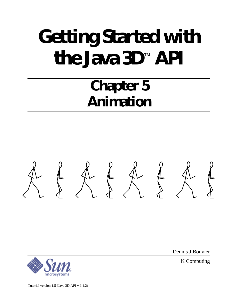# **Getting Started with the Java 3D**™  **API**

# **Chapter 5 Animation**





Dennis J Bouvier

K Computing

Tutorial version 1.5 (Java 3D API v 1.1.2)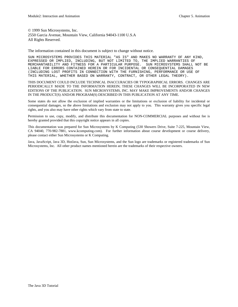© 1999 Sun Microsystems, Inc. 2550 Garcia Avenue, Mountain View, California 94043-1100 U.S.A All Rights Reserved.

The information contained in this document is subject to change without notice.

SUN MICROSYSTEMS PROVIDES THIS MATERIAL "AS IS" AND MAKES NO WARRANTY OF ANY KIND, EXPRESSED OR IMPLIED, INCLUDING, BUT NOT LIMITED TO, THE IMPLIED WARRANTIES OF MERCHANTABILITY AND FITNESS FOR A PARTICULAR PURPOSE. SUN MICROSYSTEMS SHALL NOT BE LIABLE FOR ERRORS CONTAINED HEREIN OR FOR INCIDENTAL OR CONSEQUENTIAL DAMAGES (INCLUDING LOST PROFITS IN CONNECTION WITH THE FURNISHING, PERFORMANCE OR USE OF THIS MATERIAL, WHETHER BASED ON WARRANTY, CONTRACT, OR OTHER LEGAL THEORY).

THIS DOCUMENT COULD INCLUDE TECHNICAL INACCURACIES OR TYPOGRAPHICAL ERRORS. CHANGES ARE PERIODICALLY MADE TO THE INFORMATION HEREIN; THESE CHANGES WILL BE INCORPORATED IN NEW EDITIONS OF THE PUBLICATION. SUN MICROSYSTEMS, INC. MAY MAKE IMPROVEMENTS AND/OR CHANGES IN THE PRODUCT(S) AND/OR PROGRAM(S) DESCRIBED IN THIS PUBLICATION AT ANY TIME.

Some states do not allow the exclusion of implied warranties or the limitations or exclusion of liability for incidental or consequential damages, so the above limitations and exclusion may not apply to you. This warranty gives you specific legal rights, and you also may have other rights which vary from state to state.

Permission to use, copy, modify, and distribute this documentation for NON-COMMERCIAL purposes and without fee is hereby granted provided that this copyright notice appears in all copies.

This documentation was prepared for Sun Microsystems by K Computing (530 Showers Drive, Suite 7-225, Mountain View, CA 94040, 770-982-7881, www.kcomputing.com). For further information about course development or course delivery, please contact either Sun Microsystems or K Computing.

Java, JavaScript, Java 3D, HotJava, Sun, Sun Microsystems, and the Sun logo are trademarks or registered trademarks of Sun Microsystems, Inc. All other product names mentioned herein are the trademarks of their respective owners.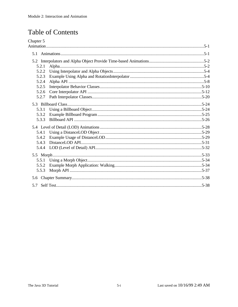# **Table of Contents**

| Chapter 5 |  |  |  |
|-----------|--|--|--|
|           |  |  |  |
|           |  |  |  |
|           |  |  |  |
| 5.2.1     |  |  |  |
| 5.2.2     |  |  |  |
| 5.2.3     |  |  |  |
| 5.2.4     |  |  |  |
| 5.2.5     |  |  |  |
| 5.2.6     |  |  |  |
| 5.2.7     |  |  |  |
|           |  |  |  |
| 5.3.1     |  |  |  |
| 5.3.2     |  |  |  |
| 5.3.3     |  |  |  |
|           |  |  |  |
| 5.4.1     |  |  |  |
| 5.4.2     |  |  |  |
| 5.4.3     |  |  |  |
| 5.4.4     |  |  |  |
|           |  |  |  |
|           |  |  |  |
| 5.5.2     |  |  |  |
| 5.5.3     |  |  |  |
|           |  |  |  |
|           |  |  |  |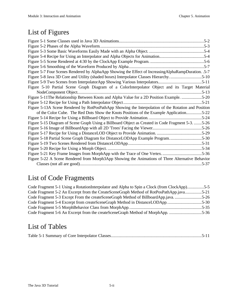# List of Figures

| Figure 5-4 Recipe for Using an Interpolator and Alpha Objects for Animation5-4                       |
|------------------------------------------------------------------------------------------------------|
|                                                                                                      |
|                                                                                                      |
| Figure 5-7 Four Scenes Rendered by AlphaApp Showing the Effect of Increasing AlphaRampDuration. .5-7 |
| Figure 5-8 Java 3D Core and Utility (shaded boxes) Interpolator Classes Hierarchy5-10                |
| Figure 5-9 Two Scenes from InterpolatorApp Showing Various Interpolators5-11                         |
| Figure 5-10 Partial Scene Graph Diagram of a ColorInterpolator Object and its Target Material        |
|                                                                                                      |
| Figure 5-11The Relationship Between Knots and Alpha Value for a 2D Position Example. 5-20            |
|                                                                                                      |
| Figure 5-13A Scene Rendered by RotPosPathApp Showing the Interpolation of the Rotation and Position  |
| of the Color Cube. The Red Dots Show the Knots Positions of the Example Application5-22              |
|                                                                                                      |
| Figure 5-15 Diagram of Scene Graph Using a Billboard Object as Created in Code Fragment 5-3. 5-26    |
|                                                                                                      |
|                                                                                                      |
| Figure 5-18 Partial Scene Graph Diagram for DistanceLODApp Example Program5-30                       |
|                                                                                                      |
|                                                                                                      |
|                                                                                                      |
| Figure 5-22 A Scene Rendered from Morph3App Showing the Animations of Three Alternative Behavior     |
|                                                                                                      |

# List of Code Fragments

| Code Fragment 5-1 Using a RotationInterpolator and Alpha to Spin a Clock (from ClockApp)5-5 |  |
|---------------------------------------------------------------------------------------------|--|
| Code Fragment 5-2 An Excerpt from the CreateSceneGraph Method of RotPosPathApp.java5-21     |  |
| Code Fragment 5-3 Except From the createSceneGraph Method of BillboardApp.java5-26          |  |
| Code Fragment 5-4 Excerpt from createSceneGraph Method in DistanceLODApp5-30                |  |
|                                                                                             |  |
| Code Fragment 5-6 An Excerpt from the createSceneGraph Method of MorphApp. 5-36             |  |

# List of Tables

|--|--|--|--|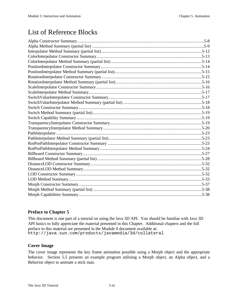# List of Reference Blocks

# **Preface to Chapter 5**

This document is one part of a tutorial on using the Java 3D API. You should be familiar with Java 3D API basics to fully appreciate the material presented in this Chapter. Additional chapters and the full preface to this material are presented in the Module 0 document available at: http://java.sun.com/products/javamedia/3d/collateral

# **Cover Image**

The cover image represents the key frame animation possible using a Morph object and the appropriate behavior. Section 5.5 presents an example program utilizing a Morph object, an Alpha object, and a Behavior object to animate a stick man.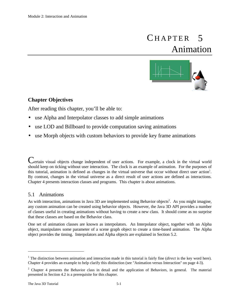# 5 Animation **CHAPTER**



# **Chapter Objectives**

After reading this chapter, you'll be able to:

- use Alpha and Interpolator classes to add simple animations
- use LOD and Billboard to provide computation saving animations
- use Morph objects with custom behaviors to provide key frame animations

Certain visual objects change independent of user actions. For example, a clock in the virtual world should keep on ticking without user interaction. The clock is an example of animation. For the purposes of this tutorial, animation is defined as changes in the virtual universe that occur without direct user action<sup>1</sup>. By contrast, changes in the virtual universe as a direct result of user actions are defined as interactions. Chapter 4 presents interaction classes and programs. This chapter is about animations.

# 5.1 Animations

As with interaction, animations in Java 3D are implemented using Behavior objects<sup>2</sup>. As you might imagine, any custom animation can be created using behavior objects. However, the Java 3D API provides a number of classes useful in creating animations without having to create a new class. It should come as no surprise that these classes are based on the Behavior class.

One set of animation classes are known as interpolators. An Interpolator object, together with an Alpha object, manipulates some parameter of a scene graph object to create a time-based animation. The Alpha object provides the timing. Interpolators and Alpha objects are explained in Section 5.2.

<u>.</u>

<sup>&</sup>lt;sup>1</sup> The distinction between animation and interaction made in this tutorial is fairly fine (*direct* is the key word here). Chapter 4 provides an example to help clarify this distinction (see "Animation versus Interaction" on page 4-3).

 $2$  Chapter 4 presents the Behavior class in detail and the application of Behaviors, in general. The material presented in Section 4.2 is a prerequisite for this chapter.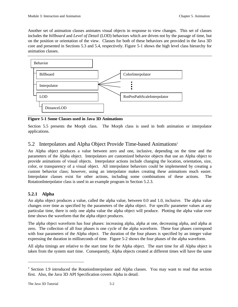Another set of animation classes animates visual objects in response to view changes. This set of classes includes the *billboard* and *Level of Detail* (LOD) behaviors which are driven not by the passage of time, but on the position or orientation of the view. Classes for both of these behaviors are provided in the Java 3D core and presented in Sections 5.3 and 5.4, respectively. Figure 5-1 shows the high level class hierarchy for animation classes.



**Figure 5-1 Some Classes used in Java 3D Animations**

Section 5.5 presents the Morph class. The Morph class is used in both animation or interpolator applications.

# 5.2 Interpolators and Alpha Object Provide Time-based Animations<sup>3</sup>

An Alpha object produces a value between zero and one, inclusive, depending on the time and the parameters of the Alpha object. Interpolators are customized behavior objects that use an Alpha object to provide animations of visual objects. Interpolator actions include changing the location, orientation, size, color, or transparency of a visual object. All interpolator behaviors could be implemented by creating a custom behavior class; however, using an interpolator makes creating these animations much easier. Interpolator classes exist for other actions, including some combinations of these actions. The RotationInterpolator class is used in an example program in Section 5.2.3.

# **5.2.1 Alpha**

An alpha object produces a value, called the alpha value, between 0.0 and 1.0, inclusive. The alpha value changes over time as specified by the parameters of the alpha object. For specific parameter values at any particular time, there is only one alpha value the alpha object will produce. Plotting the alpha value over time shows the waveform that the alpha object produces.

The alpha object waveform has four phases: increasing alpha, alpha at one, decreasing alpha, and alpha at zero. The collection of all four phases is one cycle of the alpha waveform. These four phases correspond with four parameters of the Alpha object. The duration of the four phases is specified by an integer value expressing the duration in milliseconds of time. Figure 5-2 shows the four phases of the alpha waveform.

All alpha timings are relative to the start time for the Alpha object. The start time for all Alpha object is taken from the system start time. Consequently, Alpha objects created at different times will have the same

 $\overline{a}$ 

<sup>&</sup>lt;sup>3</sup> Section 1.9 introduced the RotationInterpolator and Alpha classes. You may want to read that section first. Also, the Java 3D API Specification covers Alpha in detail.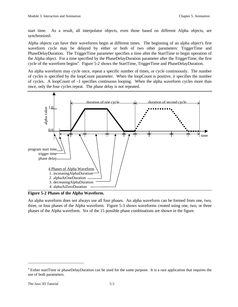start time. As a result, all interpolator objects, even those based on different Alpha objects, are synchronized.

Alpha objects can have their waveforms begin at different times. The beginning of an alpha object's first waveform cycle may be delayed by either or both of two other parameters: TriggerTime and PhaseDelayDuration. The TriggerTime parameter specifies a time after the StartTime to begin operation of the Alpha object. For a time specified by the PhaseDelayDuration parameter after the TriggerTime, the first cycle of the waveform begins<sup>4</sup>. Figure 5-2 shows the StartTime, TriggerTime and PhaseDelayDuration.

An alpha waveform may cycle once, repeat a specific number of times, or cycle continuously. The number of cycles is specified by the loopCount parameter. When the loopCount is positive, it specifies the number of cycles. A loopCount of –1 specifies continuous looping. When the alpha waveform cycles more than once, only the four cycles repeat. The phase delay is not repeated.



**Figure 5-2 Phases of the Alpha Waveform.**

An alpha waveform does not always use all four phases. An alpha waveform can be formed from one, two, three, or four phases of the Alpha waveform. Figure 5-3 shows waveforms created using one, two, or three phases of the Alpha waveform. Six of the 15 possible phase combinations are shown in the figure.

<u>.</u>

<sup>&</sup>lt;sup>4</sup> Either startTime or phaseDelayDuration can be used for the same purpose. It is a rare application that requires the use of both parameters.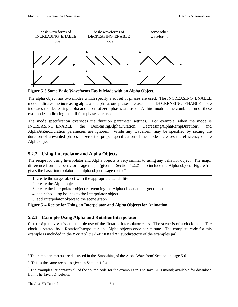

**Figure 5-3 Some Basic Waveforms Easily Made with an Alpha Object.**

The alpha object has two modes which specify a subset of phases are used. The INCREASING\_ENABLE mode indicates the increasing alpha and alpha at one phases are used. The DECREASING\_ENABLE mode indicates the decreasing alpha and alpha at zero phases are used. A third mode is the combination of these two modes indicating that all four phases are used.

The mode specification overrides the duration parameter settings. For example, when the mode is INCREASING\_ENABLE, the DecreasingAlphaDuration, DecreasingAlphaRampDuration<sup>5</sup>, , and AlphaAtZeroDuration parameters are ignored. While any waveform may be specified by setting the duration of unwanted phases to zero, the proper specification of the mode increases the efficiency of the Alpha object.

# **5.2.2 Using Interpolator and Alpha Objects**

The recipe for using Interpolator and Alpha objects is very similar to using any behavior object. The major difference from the behavior usage recipe (given in Section 4.2.2) is to include the Alpha object. Figure 5-4 gives the basic interpolator and alpha object usage recipe<sup>6</sup>.

- 1. create the target object with the appropriate capability
- 2. create the Alpha object
- 3. create the Interpolator object referencing the Alpha object and target object
- 4. add scheduling bounds to the Interpolator object
- 5. add Interpolator object to the scene graph

# **Figure 5-4 Recipe for Using an Interpolator and Alpha Objects for Animation.**

# **5.2.3 Example Using Alpha and RotationInterpolator**

ClockApp.java is an example use of the RotationInterpolator class. The scene is of a clock face. The clock is rotated by a RotationInterpolator and Alpha objects once per minute. The complete code for this example is included in the examples/Animation subdirectory of the examples jar<sup>7</sup>.

 $\overline{a}$ 

<sup>&</sup>lt;sup>5</sup> The ramp parameters are discussed in the 'Smoothing of the Alpha Waveform' Section on page 5-6

 $6\,$  This is the same recipe as given in Section 1.9.4.

The examples jar contains all of the source code for the examples in The Java 3D Tutorial; available for download from The Java 3D website.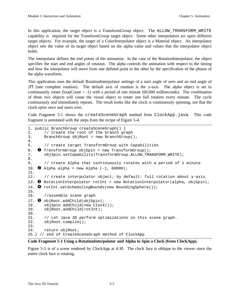In this application, the target object is a TransformGroup object. The ALLOW\_TRANSFORM\_WRITE capability is required for the TransformGroup target object. Some other interpolators act upon different target objects. For example, the target of a ColorInterpolator object is a Material object. An interpolator object sets the value of its target object based on the alpha value and values that the interpolator object holds.

The interpolator defines the end points of the animation. In the case of the RotationInterpolator, the object specifies the start and end angles of rotation. The alpha controls the animation with respect to the timing and how the interpolator will move from one defined point to the other by the specification of the phases of the alpha waveform.

This application uses the default RotationInterpolator settings of a start angle of zero and an end angle of 2Π (one complete rotation). The default axis of rotation is the y-axis. The alpha object is set to continuously rotate (loopCount  $= -1$ ) with a period of one minute (60,000 milliseconds). The combination of these two objects will cause the visual object to rotate one full rotation every minute. The cycle continuously and immediately repeats. The result looks like the clock is continuously spinning, not that the clock spins once and starts over.

Code Fragment 5-1 shows the createSceneGraph method from ClockApp.java. This code fragment is annotated with the steps from the recipe of Figure 5-4.

```
1. public BranchGroup createSceneGraph() {
2. // Create the root of the branch graph
3. BranchGroup objRoot = new BranchGroup();
4.
5. // create target TransformGroup with Capabilities
6. \bullet TransformGroup objSpin = new TransformGroup();
7. objSpin.setCapability(TransformGroup.ALLOW_TRANSFORM_WRITE);
8.
9. // create Alpha that continuously rotates with a period of 1 minute
10. \bullet Alpha alpha = new Alpha (-1, 60000);
11.
12. // create interpolator object; by default: full rotation about y-axis
13. \bullet RotationInterpolator rotInt = new RotationInterpolator(alpha, objSpin);
14. \bullet rotInt.setSchedulingBounds(new BoundingSphere());
15.
16. //assemble scene graph
17. @ objRoot.addChild(objSpin);
18. objSpin.addChild(new Clock());
19. objRoot.addChild(rotInt);
20.
21. // Let Java 3D perform optimizations on this scene graph.
22. objRoot.compile();
23.
24. return objRoot;
25.} // end of CreateSceneGraph method of ClockApp
```
#### **Code Fragment 5-1 Using a RotationInterpolator and Alpha to Spin a Clock (from ClockApp).**

Figure 5-5 is of a scene rendered by ClockApp at 4:30. The clock face is oblique to the viewer since the entire clock face is rotating.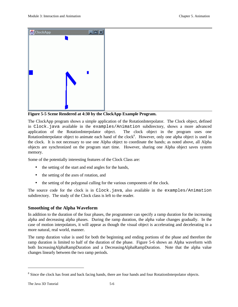

**Figure 5-5 Scene Rendered at 4:30 by the ClockApp Example Program.**

The ClockApp program shows a simple application of the RotationInterpolator. The Clock object, defined in Clock.java available in the examples/Animation subdirectory, shows a more advanced application of the RotationInterpolator object. The clock object in the program uses one RotationInterpolator object to animate each hand of the clock<sup>8</sup>. However, only one alpha object is used in the clock. It is not necessary to use one Alpha object to coordinate the hands; as noted above, all Alpha objects are synchronized on the program start time. However, sharing one Alpha object saves system memory.

Some of the potentially interesting features of the Clock Class are:

- the setting of the start and end angles for the hands,
- the setting of the axes of rotation, and
- the setting of the polygonal culling for the various components of the clock.

The source code for the clock is in Clock.java, also available in the examples/Animation subdirectory. The study of the Clock class is left to the reader.

# **Smoothing of the Alpha Waveform**

In addition to the duration of the four phases, the programmer can specify a ramp duration for the increasing alpha and decreasing alpha phases. During the ramp duration, the alpha value changes gradually. In the case of motion interpolators, it will appear as though the visual object is accelerating and decelerating in a more natural, real world, manner.

The ramp duration value is used for both the beginning and ending portions of the phase and therefore the ramp duration is limited to half of the duration of the phase. Figure 5-6 shows an Alpha waveform with both IncreasingAlphaRampDuration and a DecreasingAlphaRampDuration. Note that the alpha value changes linearly between the two ramp periods.

<u>.</u>

<sup>&</sup>lt;sup>8</sup> Since the clock has front and back facing hands, there are four hands and four RotationInterpolator objects.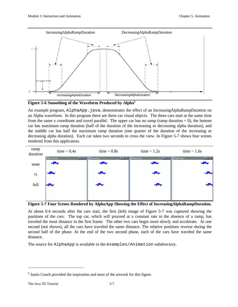

**Figure 5-6 Smoothing of the Waveform Produced by Alpha<sup>9</sup>**

An example program, AlphaApp.java, demonstrates the effect of an IncreasingAlphaRampDuration on an Alpha waveform. In this program there are three car visual objects. The three cars start at the same time from the same x coordinate and travel parallel. The upper car has no ramp (ramp duration  $= 0$ ), the bottom car has maximum ramp duration (half of the duration of the increasing or decreasing alpha duration), and the middle car has half the maximum ramp duration (one quarter of the duration of the increasing or decreasing alpha duration). Each car takes two seconds to cross the view. In Figure 5-7 shows four scenes rendered from this application.



**Figure 5-7 Four Scenes Rendered by AlphaApp Showing the Effect of IncreasingAlphaRampDuration.**

At about 0.4 seconds after the cars start, the first (left) image of Figure 5-7 was captured showing the positions of the cars. The top car, which will proceed at a constant rate in the absence of a ramp, has traveled the most distance in the first frame. The other two cars begin more slowly and accelerate. At one second (not shown), all the cars have traveled the same distance. The relative positions reverse during the second half of the phase. At the end of the two second phase, each of the cars have traveled the same distance.

The source for AlphaApp is available in the examples/Animation subdirectory.

 $\overline{a}$ 

 $9$  Justin Couch provided the inspiration and most of the artwork for this figure.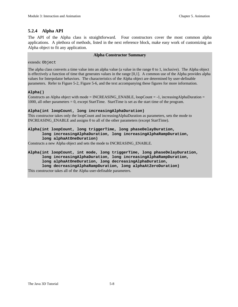# **5.2.4 Alpha API**

The API of the Alpha class is straightforward. Four constructors cover the most common alpha applications. A plethora of methods, listed in the next reference block, make easy work of customizing an Alpha object to fit any application.

#### **Alpha Constructor Summary**

extends: Object

The alpha class converts a time value into an alpha value (a value in the range 0 to 1, inclusive). The Alpha object is effectively a function of time that generates values in the range [0,1]. A common use of the Alpha provides alpha values for Interpolator behaviors. The characteristics of the Alpha object are determined by user-definable parameters. Refer to Figure 5-2, Figure 5-6, and the text accompanying these figures for more information.

#### **Alpha()**

Constructs an Alpha object with mode =  $INCREASING\_ENABLE$ , loopCount = -1, increasingAlphaDuration = 1000, all other parameters = 0, except StartTime. StartTime is set as the start time of the program.

#### **Alpha(int loopCount, long increasingAlphaDuration)**

This constructor takes only the loopCount and increasingAlphaDuration as parameters, sets the mode to INCREASING\_ENABLE and assigns 0 to all of the other parameters (except StartTime).

#### **Alpha(int loopCount, long triggerTime, long phaseDelayDuration, long increasingAlphaDuration, long increasingAlphaRampDuration, long alphaAtOneDuration)**

Constructs a new Alpha object and sets the mode to INCREASING\_ENABLE.

#### **Alpha(int loopCount, int mode, long triggerTime, long phaseDelayDuration,**

**long increasingAlphaDuration, long increasingAlphaRampDuration,**

**long alphaAtOneDuration, long decreasingAlphaDuration,**

**long decreasingAlphaRampDuration, long alphaAtZeroDuration)**

This constructor takes all of the Alpha user-definable parameters.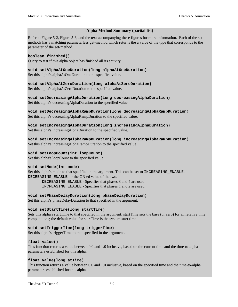#### **Alpha Method Summary (partial list)**

Refer to Figure 5-2, Figure 5-6, and the text accompanying these figures for more information. Each of the setmethods has a matching parameterless get-method which returns the a value of the type that corresponds to the parameter of the set-method.

**boolean finished()** Query to test if this alpha object has finished all its activity.

**void setAlphaAtOneDuration(long alphaAtOneDuration)** Set this alpha's alphaAtOneDuration to the specified value.

#### **void setAlphaAtZeroDuration(long alphaAtZeroDuration)**

Set this alpha's alphaAtZeroDuration to the specified value.

**void setDecreasingAlphaDuration(long decreasingAlphaDuration)** Set this alpha's decreasingAlphaDuration to the specified value.

**void setDecreasingAlphaRampDuration(long decreasingAlphaRampDuration)** Set this alpha's decreasingAlphaRampDuration to the specified value.

**void setIncreasingAlphaDuration(long increasingAlphaDuration)** Set this alpha's increasingAlphaDuration to the specified value.

**void setIncreasingAlphaRampDuration(long increasingAlphaRampDuration)** Set this alpha's increasingAlphaRampDuration to the specified value.

#### **void setLoopCount(int loopCount)**

Set this alpha's loopCount to the specified value.

#### **void setMode(int mode)**

Set this alpha's mode to that specified in the argument. This can be set to INCREASING\_ENABLE, DECREASING\_ENABLE, or the OR-ed value of the two.

DECREASING\_ENABLE - Specifies that phases 3 and 4 are used INCREASING\_ENABLE - Specifies that phases 1 and 2 are used.

#### **void setPhaseDelayDuration(long phaseDelayDuration)**

Set this alpha's phaseDelayDuration to that specified in the argument.

#### **void setStartTime(long startTime)**

Sets this alpha's startTime to that specified in the argument; startTime sets the base (or zero) for all relative time computations; the default value for startTime is the system start time.

#### **void setTriggerTime(long triggerTime)**

Set this alpha's triggerTime to that specified in the argument.

#### **float value()**

This function returns a value between 0.0 and 1.0 inclusive, based on the current time and the time-to-alpha parameters established for this alpha.

#### **float value(long atTime)**

This function returns a value between 0.0 and 1.0 inclusive, based on the specified time and the time-to-alpha parameters established for this alpha.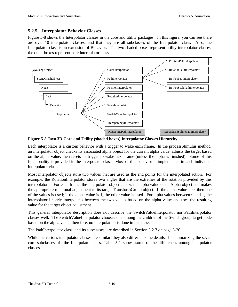# **5.2.5 Interpolator Behavior Classes**

Figure 5-8 shows the Interpolator classes in the core and utility packages. In this figure, you can see there are over 10 interpolator classes, and that they are all subclasses of the Interpolator class. Also, the Interpolator class is an extension of Behavior. The two shaded boxes represent utility interpolator classes, the other boxes represent core interpolator classes.



**Figure 5-8 Java 3D Core and Utility (shaded boxes) Interpolator Classes Hierarchy.**

Each interpolator is a custom behavior with a trigger to wake each frame. In the processStimulus method, an interpolator object checks its associated alpha object for the current alpha value, adjusts the target based on the alpha value, then resets its trigger to wake next frame (unless the alpha is finished). Some of this functionality is provided in the Interpolator class. Most of this behavior is implemented in each individual interpolator class.

Most interpolator objects store two values that are used as the end points for the interpolated action. For example, the RotationInterpolator stores two angles that are the extremes of the rotation provided by this interpolator. For each frame, the interpolator object checks the alpha value of its Alpha object and makes the appropriate rotational adjustment to its target TransformGroup object. If the alpha value is 0, then one of the values is used; if the alpha value is 1, the other value is used. For alpha values between 0 and 1, the interpolator linearly interpolates between the two values based on the alpha value and uses the resulting value for the target object adjustment.

This general interpolator description does not describe the SwitchValueInterpolator nor PathInterpolator classes well. The SwitchValueInterpolator chooses one among the children of the Switch group target node based on the alpha value; therefore, no interpolation is done in this class.

The PathInterpolator class, and its subclasses, are described in Section 5.2.7 on page 5-20.

While the various interpolator classes are similar, they also differ in some details. In summarizing the seven core subclasses of the Interpolator class, Table 5-1 shows some of the differences among interpolator classes.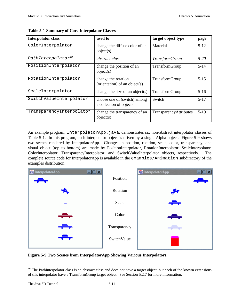| <b>Interpolator class</b>      | used to                                                 | target object type            | page     |
|--------------------------------|---------------------------------------------------------|-------------------------------|----------|
| ColorInterpolator              | change the diffuse color of an<br>object(s)             | Material                      | $5 - 12$ |
| PathInterpolator <sup>10</sup> | <i>abstract class</i>                                   | <b>TransformGroup</b>         | $5-20$   |
| PositionInterpolator           | change the position of an<br>object(s)                  | TransformGroup                | $5 - 14$ |
| RotationInterpolator           | change the rotation<br>(orientation) of an object(s)    | TransformGroup                | $5 - 15$ |
| ScaleInterpolator              | change the size of an object(s)                         | TransformGroup                | $5-16$   |
| SwitchValueInterpolator        | choose one of (switch) among<br>a collection of objects | Switch                        | $5-17$   |
| TransparencyInterpolator       | change the transparency of an<br>object(s)              | <b>TransparencyAttributes</b> | $5-19$   |

**Table 5-1 Summary of Core Interpolator Classes**

An example program, InterpolatorApp.java, demonstrates six non-abstract interpolator classes of Table 5-1. In this program, each interpolator object is driven by a single Alpha object. Figure 5-9 shows two scenes rendered by InterpolatorApp. Changes in position, rotation, scale, color, transparency, and visual object (top to bottom) are made by PositionInterpolator, RotationInterpolator, ScaleInterpolator, ColorInterpolator, TransparencyInterpolator, and SwitchValueInterpolator objects, respectively. The complete source code for InterpolatorApp is available in the examples/Animation subdirectory of the examples distribution.

| $\Box$ o $\boxtimes$<br>InterpolatorApp<br>┯╧┯ | Position     | InterpolatorApp<br>$\Box$ o $\times$<br>t٣ |
|------------------------------------------------|--------------|--------------------------------------------|
|                                                | Rotation     | ₩                                          |
| ÷                                              | Scale        | ┯                                          |
| مليهد                                          | Color        | <u>again an</u>                            |
| ╼╤═┯                                           | Transparency |                                            |
| <b>Teles</b>                                   | SwitchValue  |                                            |

**Figure 5-9 Two Scenes from InterpolatorApp Showing Various Interpolators.**

<u>.</u>

 $10$  The PathInterpolator class is an abstract class and does not have a target object, but each of the known extensions of this interpolator have a TransformGroup target object. See Section 5.2.7 for more information.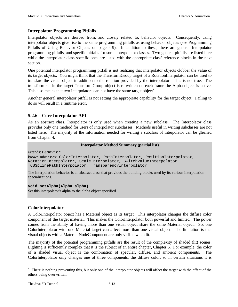## **Interpolator Programming Pitfalls**

Interpolator objects are derived from, and closely related to, behavior objects. Consequently, using interpolator objects give rise to the same programming pitfalls as using behavior objects (see Programming Pitfalls of Using Behavior Objects on page 4-9). In addition to these, there are general Interpolator programming pitfalls, and specific pitfalls for some interpolator classes. Two general pitfalls are listed here while the interpolator class specific ones are listed with the appropriate class' reference blocks in the next section.

One potential interpolator programming pitfall is not realizing that interpolator objects clobber the value of its target objects. You might think that the TransformGroup target of a RotationInterpolator can be used to translate the visual object in addition to the rotation provided by the interpolator. This is not true. The transform set in the target TransformGroup object is re-written on each frame the Alpha object is active. This also means that two interpolators can not have the same target object<sup>11</sup>.

Another general interpolator pitfall is not setting the appropriate capability for the target object. Failing to do so will result in a runtime error.

# **5.2.6 Core Interpolator API**

As an abstract class, Interpolator is only used when creating a new subclass. The Interpolator class provides only one method for users of Interpolator subclasses. Methods useful in writing subclasses are not listed here. The majority of the information needed for writing a subclass of interpolator can be gleaned from Chapter 4.

#### **Interpolator Method Summary (partial list)**

extends: Behavior

```
known subclasses: ColorInterpolator, PathInterpolator, PositionInterpolator,
RotationInterpolator, ScaleInterpolator, SwitchValueInterpolator,
TCBSplinePathInterpolator, TransparencyInterpolator
```
The Interpolation behavior is an abstract class that provides the building blocks used by its various interpolation specializations.

#### **void setAlpha(Alpha alpha)**

Set this interpolator's alpha to the alpha object specified.

# **ColorInterpolator**

A ColorInterpolator object has a Material object as its target. This interpolator changes the diffuse color component of the target material. This makes the ColorInterpolator both powerful and limited. The power comes from the ability of having more than one visual object share the same Material object. So, one ColorInterpolator with one Material target can affect more than one visual object. The limitation is that visual objects with a Material NodeComponent are only visible when lit.

The majority of the potential programming pitfalls are the result of the complexity of shaded (lit) scenes. Lighting is sufficiently complex that it is the subject of an entire chapter, Chapter 6. For example, the color of a shaded visual object is the combination of specular, diffuse, and ambient components. The ColorInterpolator only changes one of three components, the diffuse color, so in certain situations it is

 $\overline{a}$ 

 $11$  There is nothing preventing this, but only one of the interpolator objects will affect the target with the effect of the others being overwritten.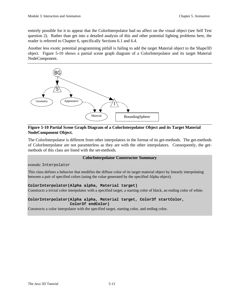entirely possible for it to appear that the ColorInterpolator had no affect on the visual object (see Self Test question 2). Rather than get into a detailed analysis of this and other potential lighting problems here, the reader is referred to Chapter 6, specifically Sections 6.1 and 6.4.

Another less exotic potential programming pitfall is failing to add the target Material object to the Shape3D object. Figure 5-10 shows a partial scene graph diagram of a ColorInterpolator and its target Material NodeComponent.



# **Figure 5-10 Partial Scene Graph Diagram of a ColorInterpolator Object and its Target Material NodeComponent Object.**

The ColorInterpolator is different from other interpolators in the format of its get-methods. The get-methods of ColorInterpolator are not paramterless as they are with the other interpolators. Consequently, the getmethods of this class are listed with the set-methods.

#### **ColorInterpolator Constructor Summary**

extends: Interpolator

This class defines a behavior that modifies the diffuse color of its target material object by linearly interpolating between a pair of specified colors (using the value generated by the specified Alpha object).

#### **ColorInterpolator(Alpha alpha, Material target)**

Constructs a trivial color interpolator with a specified target, a starting color of black, an ending color of white.

#### **ColorInterpolator(Alpha alpha, Material target, Color3f startColor, Color3f endColor)**

Constructs a color interpolator with the specified target, starting color, and ending color.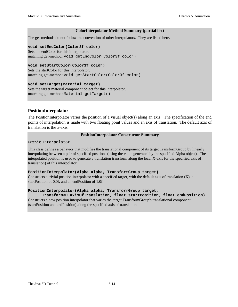#### **ColorInterpolator Method Summary (partial list)**

The get-methods do not follow the convention of other interpolators. They are listed here.

#### **void setEndColor(Color3f color)**

Sets the endColor for this interpolator. matching get-method: void getEndColor(Color3f color)

#### **void setStartColor(Color3f color)**

Sets the startColor for this interpolator. matching get-method: void getStartColor(Color3f color)

#### **void setTarget(Material target)**

Sets the target material component object for this interpolator. matching get-method: Material getTarget()

#### **PositionInterpolator**

The PositionInterpolator varies the position of a visual object(s) along an axis. The specification of the end points of interpolation is made with two floating point values and an axis of translation. The default axis of translation is the x-axis.

#### **PositionInterpolator Constructor Summary**

extends: Interpolator

This class defines a behavior that modifies the translational component of its target TransformGroup by linearly interpolating between a pair of specified positions (using the value generated by the specified Alpha object). The interpolated position is used to generate a translation transform along the local X-axis (or the specified axis of translation) of this interpolator.

#### **PositionInterpolator(Alpha alpha, TransformGroup target)**

Constructs a trivial position interpolator with a specified target, with the default axis of translation (X), a startPosition of 0.0f, and an endPosition of 1.0f.

#### **PositionInterpolator(Alpha alpha, TransformGroup target,**

**Transform3D axisOfTranslation, float startPosition, float endPosition)** Constructs a new position interpolator that varies the target TransformGroup's translational component (startPosition and endPosition) along the specified axis of translation.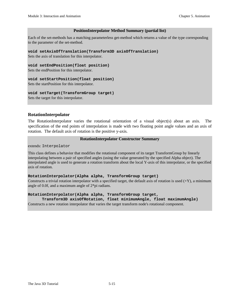#### **PositionInterpolator Method Summary (partial list)**

Each of the set-methods has a matching parameterless get-method which returns a value of the type corresponding to the parameter of the set-method.

#### **void setAxisOfTranslation(Transform3D axisOfTranslation)**

Sets the axis of translation for this interpolator.

#### **void setEndPosition(float position)**

Sets the endPosition for this interpolator.

#### **void setStartPosition(float position)**

Sets the startPosition for this interpolator.

#### **void setTarget(TransformGroup target)**

Sets the target for this interpolator.

#### **RotationInterpolator**

The RotationInterpolator varies the rotational orientation of a visual object(s) about an axis. The specification of the end points of interpolation is made with two floating point angle values and an axis of rotation. The default axis of rotation is the positive y-axis.

#### **RotationInterpolator Constructor Summary**

extends: Interpolator

This class defines a behavior that modifies the rotational component of its target TransformGroup by linearly interpolating between a pair of specified angles (using the value generated by the specified Alpha object). The interpolated angle is used to generate a rotation transform about the local Y-axis of this interpolator, or the specified axis of rotation.

#### **RotationInterpolator(Alpha alpha, TransformGroup target)**

Constructs a trivial rotation interpolator with a specified target, the default axis of rotation is used  $(+Y)$ , a minimum angle of 0.0f, and a maximum angle of 2\*pi radians.

#### **RotationInterpolator(Alpha alpha, TransformGroup target,**

**Transform3D axisOfRotation, float minimumAngle, float maximumAngle)** Constructs a new rotation interpolator that varies the target transform node's rotational component.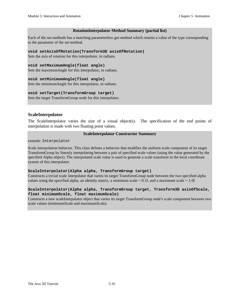#### **RotationInterpolator Method Summary (partial list)**

Each of the set-methods has a matching parameterless get-method which returns a value of the type corresponding to the parameter of the set-method.

#### **void setAxisOfRotation(Transform3D axisOfRotation)**

Sets the axis of rotation for this interpolator, in radians.

#### **void setMaximumAngle(float angle)**

Sets the maximumAngle for this interpolator, in radians.

#### **void setMinimumAngle(float angle)**

Sets the minimumAngle for this interpolator, in radians.

#### **void setTarget(TransformGroup target)**

Sets the target TransformGroup node for this interpolator.

#### **ScaleInterpolator**

The ScaleInterpolator varies the size of a visual object(s). The specification of the end points of interpolation is made with two floating point values.

#### **ScaleInterpolator Constructor Summary**

extends: Interpolator

Scale interpolation behavior. This class defines a behavior that modifies the uniform scale component of its target TransformGroup by linearly interpolating between a pair of specified scale values (using the value generated by the specified Alpha object). The interpolated scale value is used to generate a scale transform in the local coordinate system of this interpolator.

#### **ScaleInterpolator(Alpha alpha, TransformGroup target)**

Constructs a trivial scale interpolator that varies its target TransformGroup node between the two specified alpha values using the specified alpha, an identity matrix, a minimum scale  $= 0.1$ f, and a maximum scale  $= 1.0$ f.

#### **ScaleInterpolator(Alpha alpha, TransformGroup target, Transform3D axisOfScale, float minimumScale, float maximumScale)**

Constructs a new scaleInterpolator object that varies its target TransformGroup node's scale component between two scale values (minimumScale and maximumScale).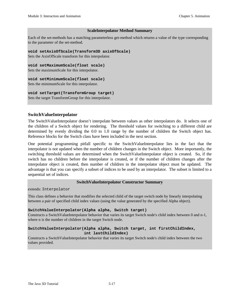#### **ScaleInterpolator Method Summary**

Each of the set-methods has a matching parameterless get-method which returns a value of the type corresponding to the parameter of the set-method.

**void setAxisOfScale(Transform3D axisOfScale)**

Sets the AxisOfScale transform for this interpolator.

**void setMaximumScale(float scale)**

Sets the maximumScale for this interpolator.

**void setMinimumScale(float scale)**

Sets the minimumScale for this interpolator.

#### **void setTarget(TransformGroup target)**

Sets the target TransformGroup for this interpolator.

# **SwitchValueInterpolator**

The SwitchValueInterpolator doesn't interpolate between values as other interpolators do. It selects one of the children of a Switch object for rendering. The threshold values for switching to a different child are determined by evenly dividing the 0.0 to 1.0 range by the number of children the Switch object has. Reference blocks for the Switch class have been included in the next section.

One potential programming pitfall specific to the SwitchValueInterpolator lies in the fact that the interpolator is not updated when the number of children changes in the Switch object. More importantly, the switching threshold values are determined when the SwitchValueInterpolator object is created. So, if the switch has no children before the interpolator is created, or if the number of children changes after the interpolator object is created, then number of children in the interpolator object must be updated. The advantage is that you can specify a subset of indices to be used by an interpolator. The subset is limited to a sequential set of indices.

#### **SwitchValueInterpolator Constructor Summary**

extends: Interpolator

This class defines a behavior that modifies the selected child of the target switch node by linearly interpolating between a pair of specified child index values (using the value generated by the specified Alpha object).

#### **SwitchValueInterpolator(Alpha alpha, Switch target)**

Constructs a SwitchValueInterpolator behavior that varies its target Switch node's child index between 0 and n-1, where n is the number of children in the target Switch node.

#### **SwitchValueInterpolator(Alpha alpha, Switch target, int firstChildIndex, int lastChildIndex)**

Constructs a SwitchValueInterpolator behavior that varies its target Switch node's child index between the two values provided.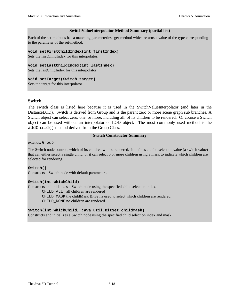#### **SwitchValueInterpolator Method Summary (partial list)**

Each of the set-methods has a matching parameterless get-method which returns a value of the type corresponding to the parameter of the set-method.

**void setFirstChildIndex(int firstIndex)**

Sets the firstChildIndex for this interpolator.

**void setLastChildIndex(int lastIndex)**

Sets the lastChildIndex for this interpolator.

#### **void setTarget(Switch target)**

Sets the target for this interpolator.

# **Switch**

The switch class is listed here because it is used in the SwitchValueInterpolator (and later in the DistanceLOD). Switch is derived from Group and is the parent zero or more scene graph sub branches. A Switch object can select zero, one, or more, including all, of its children to be rendered. Of course a Switch object can be used without an interpolator or LOD object. The most commonly used method is the addChild() method derived from the Group Class.

#### **Switch Constructor Summary**

extends: Group

The Switch node controls which of its children will be rendered. It defines a child selection value (a switch value) that can either select a single child, or it can select 0 or more children using a mask to indicate which children are selected for rendering.

#### **Switch()**

Constructs a Switch node with default parameters.

#### **Switch(int whichChild)**

Constructs and initializes a Switch node using the specified child selection index.

CHILD\_ALL all children are rendered CHILD\_MASK the childMask BitSet is used to select which children are rendered CHILD\_NONE no children are rendered

#### **Switch(int whichChild, java.util.BitSet childMask)**

Constructs and initializes a Switch node using the specified child selection index and mask.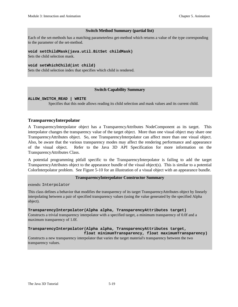#### **Switch Method Summary (partial list)**

Each of the set-methods has a matching parameterless get-method which returns a value of the type corresponding to the parameter of the set-method.

#### **void setChildMask(java.util.BitSet childMask)**

Sets the child selection mask.

#### **void setWhichChild(int child)**

Sets the child selection index that specifies which child is rendered.

#### **Switch Capability Summary**

#### **ALLOW\_SWITCH\_READ | WRITE**

Specifies that this node allows reading its child selection and mask values and its current child.

#### **TransparencyInterpolator**

A TransparencyInterpolator object has a TransparencyAttributes NodeComponent as its target. This interpolator changes the transparency value of the target object. More than one visual object may share one TransparencyAttributes object. So, one TransparencyInterpolator can affect more than one visual object. Also, be aware that the various transparency modes may affect the rendering performance and appearance of the visual object. Refer to the Java 3D API Specification for more information on the TransparencyAttributes Class.

A potential programming pitfall specific to the TransparencyInterpolator is failing to add the target TransparencyAttributes object to the appearance bundle of the visual object(s). This is similar to a potential ColorInterpolator problem. See Figure 5-10 for an illustration of a visual object with an appearance bundle.

#### **TransparencyInterpolator Constructor Summary**

extends: Interpolator

This class defines a behavior that modifies the transparency of its target TransparencyAttributes object by linearly interpolating between a pair of specified transparency values (using the value generated by the specified Alpha object).

#### **TransparencyInterpolator(Alpha alpha, TransparencyAttributes target)**

Constructs a trivial transparency interpolator with a specified target, a minimum transparency of 0.0f and a maximum transparency of 1.0f.

#### **TransparencyInterpolator(Alpha alpha, TransparencyAttributes target, float minimumTransparency, float maximumTransparency)**

Constructs a new transparency interpolator that varies the target material's transparency between the two transparency values.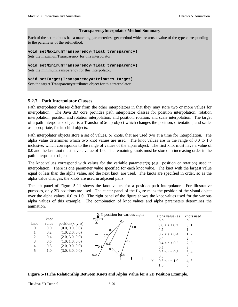#### **TransparencyInterpolator Method Summary**

Each of the set-methods has a matching parameterless get-method which returns a value of the type corresponding to the parameter of the set-method.

**void setMaximumTransparency(float transparency)**

Sets the maximumTransparency for this interpolator.

**void setMinimumTransparency(float transparency)**

Sets the minimumTransparency for this interpolator.

**void setTarget(TransparencyAttributes target)** Sets the target TransparencyAttributes object for this interpolator.

# **5.2.7 Path Interpolator Classes**

Path interpolator classes differ from the other interpolators in that they may store two or more values for interpolation. The Java 3D core provides path interpolator classes for position interpolation, rotation interpolation, position and rotation interpolation, and position, rotation, and scale interpolation. The target of a path interpolator object is a TransformGroup object which changes the position, orientation, and scale, as appropriate, for its child objects.

Path interpolator objects store a set of values, or knots, that are used two at a time for interpolation. The alpha value determines which two knot values are used. The knot values are in the range of 0.0 to 1.0 inclusive, which corresponds to the range of values of the alpha object. The first knot must have a value of 0.0 and the last knot must have a value of 1.0. The remaining knots must be stored in increasing order in the path interpolator object.

The knot values correspond with values for the variable parameter(s) (e.g., position or rotation) used in interpolation. There is one parameter value specified for each knot value. The knot with the largest value equal or less than the alpha value, and the next knot, are used. The knots are specified in order, so as the alpha value changes, the knots are used in adjacent pairs.

The left panel of Figure 5-11 shows the knot values for a position path interpolator. For illustrative purposes, only 2D positions are used. The center panel of the figure maps the position of the visual object over the alpha values, 0.0 to 1.0. The right panel of the figure shows the knot values used for the various alpha values of this example. The combination of knot values and alpha parameters determines the animation.

|          |       |                   | X, Y position for various alpha | alpha value (a) | knots used |
|----------|-------|-------------------|---------------------------------|-----------------|------------|
|          | knot  |                   | values<br>0.4                   | 0.0             | $\Omega$   |
| knot     | value | position(x, y, z) |                                 | 0.0 < a < 0.2   | 0, 1       |
| $\theta$ | 0.0   | (0.0, 0.0, 0.0)   | 1.0<br>0.3                      | 0.2             |            |
|          | 0.2   | (1.0, 2.0, 0.0)   |                                 | 0.2 < a < 0.4   | 1, 2       |
| 2        | 0.4   | (2.0, 3.0, 0.0)   | 0.2                             | 0.4             |            |
| 3        | 0.5   | (1.0, 1.0, 0.0)   | /0.9                            | 0.4 < a < 0.5   |            |
| 4        | 0.8   | (2.0, 0.0, 0.0)   | 0.5<br>IJ.                      |                 | 2, 3       |
|          | 1.0   | (3.0, 3.0, 0.0)   | 0.6                             | 0.5             | 3          |
|          |       |                   | እ.7<br>0.0 <sub>l</sub><br>0.8  | 0.5 < a < 0.8   | 3, 4       |
|          |       |                   |                                 | 0.8             | 4          |
|          |       |                   |                                 | 0.8 < a < 1.0   | 4, 5       |
|          |       |                   |                                 | 1.0             |            |

**Figure 5-11The Relationship Between Knots and Alpha Value for a 2D Position Example.**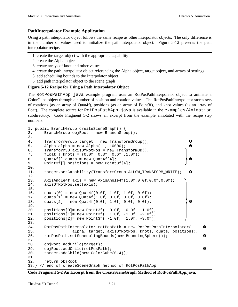## **PathInterpolator Example Application**

Using a path interpolator object follows the same recipe as other interpolator objects. The only difference is in the number of values used to initialize the path interpolator object. Figure 5-12 presents the path interpolator recipe.

- 1. create the target object with the appropriate capability
- 2. create the Alpha object
- 3. create arrays of knot and other values
- 4. create the path interpolator object referencing the Alpha object, target object, and arrays of settings
- 5. add scheduling bounds to the Interpolator object
- 6. add path interpolator object to the scene graph

#### **Figure 5-12 Recipe for Using a Path Interpolator Object**

The RotPosPathApp.java example program uses an RotPosPathInterpolator object to animate a ColorCube object through a number of position and rotation values. The RotPosPathInterpolator stores sets of rotations (as an array of Quat4f), positions (as an array of Point3f), and knot values (as an array of float). The complete source for RotPosPathApp.java is available in the examples/Animation subdirectory. Code Fragment 5-2 shows an excerpt from the example annotated with the recipe step numbers.

```
1. public BranchGroup createSceneGraph() {
2. BranchGroup objRoot = new BranchGroup();
3.
4. TransformGroup target = new TransformGroup(); @
5. Alpha alpha = new Alpha(-1, 10000); \bullet6. Transform3D axisOfRotPos = new Transform3D();
7. float[] knots = {0.0f, 0.3f, 0.6f ,1.0f};
8. Quat4f[] quats = new Quat4f[4]; \left\{ \Theta \right\}9. Point3f[] positions = new Point3f[4];
10.
11. target.setCapability(TransformGroup.ALLOW_TRANSFORM_WRITE);
12.
13. AxisAngle4f axis = new AxisAngle4f(1.0f,0.0f,0.0f,0.0f);
14. axisOfRotPos.set(axis);
15.
16. quats[0] = new Quat4f(0.0f, 1.0f, 1.0f, 0.0f);
17. quats[1] = new Quat4f(1.0f, 0.0f, 0.0f, 0.0f);
18. quats[2] = new Quat4f(0.0f, 1.0f, 0.0f, 0.0f);
19.
20. positions[0]= new Point3f( 0.0f, 0.0f, -1.0f);
21. positions[1]= new Point3f( 1.0f, -1.0f, -2.0f);
22. positions[2]= new Point3f( -1.0f, 1.0f, -3.0f);
23.
24. RotPosPathInterpolator rotPosPath = new RotPosPathInterpolator( \bullet25. alpha, target, axisOfRotPos, knots, quats, positions);
26. rotPosPath.setSchedulingBounds(new BoundingSphere()); 6
27.
28. objRoot.addChild(target);
29. objRoot.addChild(rotPosPath); ë
30. target.addChild(new ColorCube(0.4));
31.
32. return objRoot;
33.} // end of createSceneGraph method of RotPosPathApp
```
**Code Fragment 5-2 An Excerpt from the CreateSceneGraph Method of RotPosPathApp.java.**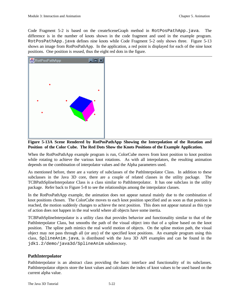Code Fragment 5-2 is based on the createSceneGraph method in RotPosPathApp.java. The difference is in the number of knots shown in the code fragment and used in the example program. RotPosPathApp.java defines nine knots while Code Fragment 5-2 only shows three. Figure 5-13 shows an image from RotPosPathApp. In the application, a red point is displayed for each of the nine knot positions. One position is reused, thus the eight red dots in the figure.



**Figure 5-13A Scene Rendered by RotPosPathApp Showing the Interpolation of the Rotation and Position of the Color Cube. The Red Dots Show the Knots Positions of the Example Application.**

When the RotPosPathApp example program is run, ColorCube moves from knot position to knot position while rotating to achieve the various knot rotations. As with all interpolators, the resulting animation depends on the combination of interpolator values and the Alpha parameters used.

As mentioned before, there are a variety of subclasses of the PathInterpolator Class. In addition to these subclasses in the Java 3D core, there are a couple of related classes in the utility package. The TCBPathSplineInterpolator Class is a class similar to PathInterpolator. It has one subclass in the utility package. Refer back to Figure 5-8 to see the relationships among the interpolator classes.

In the RotPosPathApp example, the animation does not appear natural mainly due to the combination of knot positions chosen. The ColorCube moves to each knot position specified and as soon as that position is reached, the motion suddenly changes to achieve the next position. This does not appear natural as this type of action does not happen in the real world where all objects have some inertia.

TCBPathSplineInterpolator is a utility class that provides behavior and functionality similar to that of the PathInterpolator Class, but smooths the path of the visual object into that of a spline based on the knot position. The spline path mimics the real world motion of objects. On the spline motion path, the visual object may not pass through all (or any) of the specified knot positions. An example program using this class, SplineAnim.java, is distributed with the Java 3D API examples and can be found in the jdk1.2/demo/java3d/SplineAnim subdirectory.

# **PathInterpolator**

PathInterpolator is an abstract class providing the basic interface and functionality of its subclasses. PathInterpolator objects store the knot values and calculates the index of knot values to be used based on the current alpha value.

The Java 3D Tutorial 5-22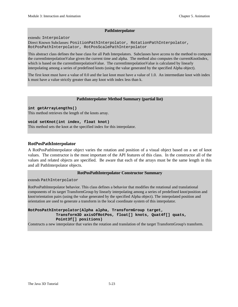#### **PathInterpolator**

extends: Interpolator

Direct Known Subclasses: PositionPathInterpolator, RotationPathInterpolator, RotPosPathInterpolator, RotPosScalePathInterpolator

This abstract class defines the base class for all Path Interpolators. Subclasses have access to the method to compute the currentInterpolationValue given the current time and alpha. The method also computes the currentKnotIndex, which is based on the currentInterpolationValue. The currentInterpolationValue is calculated by linearly interpolating among a series of predefined knots (using the value generated by the specified Alpha object).

The first knot must have a value of 0.0 and the last knot must have a value of 1.0. An intermediate knot with index k must have a value strictly greater than any knot with index less than k.

#### **PathInterpolator Method Summary (partial list)**

**int getArrayLengths()**

This method retrieves the length of the knots array.

**void setKnot(int index, float knot)**

This method sets the knot at the specified index for this interpolator.

#### **RotPosPathInterpolator**

A RotPosPathInterpolator object varies the rotation and position of a visual object based on a set of knot values. The constructor is the most important of the API features of this class. In the constructor all of the values and related objects are specified. Be aware that each of the arrays must be the same length in this and all PathInterpolator objects.

#### **RotPosPathInterpolator Constructor Summary**

extends PathInterpolator

RotPosPathInterpolator behavior. This class defines a behavior that modifies the rotational and translational components of its target TransformGroup by linearly interpolating among a series of predefined knot/position and knot/orientation pairs (using the value generated by the specified Alpha object). The interpolated position and orientation are used to generate a transform in the local coordinate system of this interpolator.

#### **RotPosPathInterpolator(Alpha alpha, TransformGroup target, Transform3D axisOfRotPos, float[] knots, Quat4f[] quats, Point3f[] positions)**

Constructs a new interpolator that varies the rotation and translation of the target TransformGroup's transform.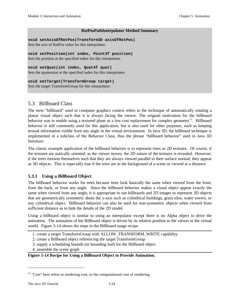#### **RotPosPathInterpolator Method Summary**

**void setAxisOfRotPos(Transform3D axisOfRotPos)** Sets the axis of RotPos value for this interpolator.

**void setPosition(int index, Point3f position)** Sets the position at the specified index for this interpolator.

**void setQuat(int index, Quat4f quat)**

Sets the quaternion at the specified index for this interpolator.

**void setTarget(TransformGroup target)**

Sets the target TransformGroup for this interpolator.

# 5.3 Billboard Class

The term "billboard" used in computer graphics context refers to the technique of automatically rotating a planar visual object such that it is always facing the viewer. The original motivation for the billboard behavior was to enable using a textured plane as a low cost replacement for complex geometry<sup>12</sup>. Billboard behavior is still commonly used for this application, but is also used for other purposes, such as keeping textual information visible from any angle in the virtual environment. In Java 3D, the billboard technique is implemented in a subclass of the Behavior Class, thus the phrase "billboard behavior" used in Java 3D literature.

The classic example application of the billboard behavior is to represent trees as 2D textures. Of course, if the textures are statically oriented, as the viewer moves, the 2D nature of the textures is revealed. However, if the trees reorient themselves such that they are always viewed parallel to their surface normal, they appear as 3D objects. This is especially true if the trees are in the background of a scene or viewed at a distance.

# **5.3.1 Using a Billboard Object**

The billboard behavior works for trees because trees look basically the same when viewed from the front, from the back, or from any angle. Since the billboard behavior makes a visual object appear exactly the same when viewed from any angle, it is appropriate to use billboards and 2D images to represent 3D objects that are geometrically symmetric about the y-axis such as cylindrical buildings, grain silos, water towers, or any cylindrical object. Billboard behavior can also be used for non-symmetric objects when viewed from sufficient distance as to hide the details of the 2D model.

Using a billboard object is similar to using an interpolator except there is no Alpha object to drive the animation. The animation of the Billboard object is driven by its relative position to the viewer in the virtual world. Figure 5-14 shows the steps in the Billboard usage recipe.

1. create a target TransformGroup with ALLOW\_TRANSFORM\_WRITE capability

2. create a Billboard object referencing the target TransformGroup

3. supply a scheduling bounds (or bounding leaf) for the Billboard object

4. assemble the scene graph

# **Figure 5-14 Recipe for Using a Billboard Object to Provide Animation.**

<u>.</u>

 $12$  "Cost" here refers to rendering cost, or the computational cost of rendering.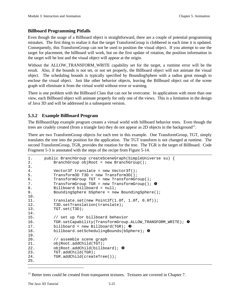# **Billboard Programming Pitfalls**

Even though the usage of a Billboard object is straightforward, there are a couple of potential programming mistakes. The first thing to realize it that the target TransformGroup is clobbered in each time it is updated. Consequently, this TransformGroup can not be used to position the visual object. If you attempt to use the target for placement, the billboard will work, but on the first update of rotation, the position information in the target will be lost and the visual object will appear at the origin.

Without the ALLOW TRANSFORM WRITE capability set for the target, a runtime error will be the result. Also, if the bounds is not set, or not set properly, the Billboard object will not animate the visual object. The scheduling bounds is typically specified by BoundingSphere with a radius great enough to enclose the visual object. Just like other behavior objects, leaving the Billboard object out of the scene graph will eliminate it from the virtual world without error or warning.

There is one problem with the Billboard Class that can not be overcome. In applications with more than one view, each Billboard object will animate properly for only one of the views. This is a limitation in the design of Java 3D and will be addressed in a subsequent version.

# **5.3.2 Example Billboard Program**

The BillboardApp example program creates a virtual world with billboard behavior trees. Even though the trees are crudely created (from a triangle fan) they do not appear as 2D objects in the background<sup>13</sup>.

There are two TransformGroup objects for each tree in this example. One TransformGroup, TGT, simply translates the tree into the position for the application. The TGT transform is not changed at runtime. The second TransformGroup, TGR, provides the rotation for the tree. The TGR is the target of Billboard. Code Fragment 5-3 is annotated with the steps of the recipe from Figure 5-14.

```
1. public BranchGroup createSceneGraph(SimpleUniverse su) {
2. BranchGroup objRoot = new BranchGroup();
3.
4. Vector3f translate = new Vector3f();
5. Transform3D T3D = new Transform3D();
6. TransformGroup TGT = new TransformGroup();
7. TransformGroup TGR = new TransformGroup(); \bullet8. Billboard billboard = null;
9. BoundingSphere bSphere = new BoundingSphere();
10.
11. translate.set(new Point3f(1.0f, 1.0f, 0.0f));
12. T3D. setTranslation(translate);
13. TGT.set(T3D);
14.
15. // set up for billboard behavior
16. TGR.setCapability(TransformGroup.ALLOW_TRANSFORM_WRITE); \bullet17. billboard = new Billboard(TGR); \Theta18. billboard.setSchedulingBounds(bSphere); \bullet19.
20. // assemble scene graph
21. objRoot.addChild(TGT);
22. objRoot.addChild(billboard); \bullet23. TGT.addChild(TGR);
24. TGR.addChild(createTree());
25.
```
 $\overline{a}$ 

<sup>&</sup>lt;sup>13</sup> Better trees could be created from transparent textures. Textures are covered in Chapter 7.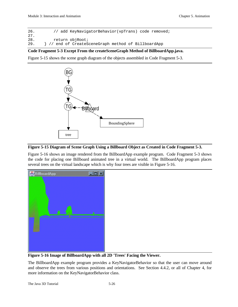26. // add KeyNavigatorBehavior(vpTrans) code removed; 27. 28. return objRoot; 29. } // end of CreateSceneGraph method of BillboardApp

# **Code Fragment 5-3 Except From the createSceneGraph Method of BillboardApp.java.**

Figure 5-15 shows the scene graph diagram of the objects assembled in Code Fragment 5-3.



# **Figure 5-15 Diagram of Scene Graph Using a Billboard Object as Created in Code Fragment 5-3.**

Figure 5-16 shows an image rendered from the BillboardApp example program. Code Fragment 5-3 shows the code for placing one Billboard animated tree in a virtual world. The BillboardApp program places several trees on the virtual landscape which is why four trees are visible in Figure 5-16.



**Figure 5-16 Image of BillboardApp with all 2D 'Trees' Facing the Viewer.**

The BillboardApp example program provides a KeyNavigatorBehavior so that the user can move around and observe the trees from various positions and orientations. See Section 4.4.2, or all of Chapter 4, for more information on the KeyNavigatorBehavior class.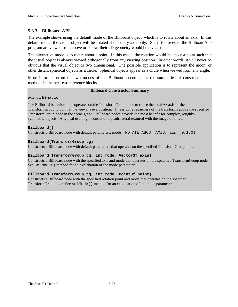# **5.3.3 Billboard API**

The example shows using the default mode of the Billboard object, which is to rotate about an axis. In this default mode, the visual object will be rotated about the y-axis only. So, if the trees in the BillboardApp program are viewed from above or below, their 2D geometry would be revealed.

The alternative mode is to rotate about a point. In this mode, the rotation would be about a point such that the visual object is always viewed orthogonally from any viewing position. In other words, it will never be obvious that the visual object is two dimensional. One possible application is to represent the moon, or other distant spherical objects as a circle. Spherical objects appear as a circle when viewed from any angle.

More information on the two modes of the Billboard accompanies the summaries of constructors and methods in the next two reference blocks.

#### **Billboard Constructor Summary**

extends: Behavior

The Billboard behavior node operates on the TransformGroup node to cause the local +z axis of the TransformGroup to point at the viewer's eye position. This is done regardless of the transforms above the specified TransformGroup node in the scene graph. Billboard nodes provide the most benefit for complex, roughlysymmetric objects. A typical use might consist of a quadrilateral textured with the image of a tree.

#### **Billboard()**

Constructs a Billboard node with default parameters: mode =  $ROTATE$ \_ABOUT\_AXIS, axis =(0,1,0).

#### **Billboard(TransformGroup tg)**

Constructs a Billboard node with default parameters that operates on the specified TransformGroup node.

#### **Billboard(TransformGroup tg, int mode, Vector3f axis)**

Constructs a Billboard node with the specified axis and mode that operates on the specified TransformGroup node. See setMode() method for an explanation of the mode parameter.

#### **Billboard(TransformGroup tg, int mode, Point3f point)**

Constructs a Billboard node with the specified rotation point and mode that operates on the specified TransformGroup node. See setMode() method for an explanation of the mode parameter.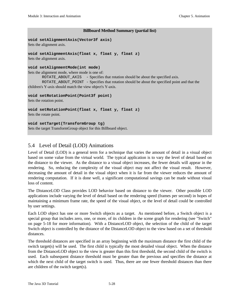#### **Billboard Method Summary (partial list)**

```
void setAlignmentAxis(Vector3f axis)
```
Sets the alignment axis.

```
void setAlignmentAxis(float x, float y, float z)
```
Sets the alignment axis.

#### **void setAlignmentMode(int mode)**

Sets the alignment mode, where mode is one of:

ROTATE\_ABOUT\_AXIS - Specifies that rotation should be about the specified axis. ROTATE\_ABOUT\_POINT - Specifies that rotation should be about the specified point and that the children's Y-axis should match the view object's Y-axis.

**void setRotationPoint(Point3f point)**

Sets the rotation point.

```
void setRotationPoint(float x, float y, float z)
```
Sets the rotate point.

# **void setTarget(TransformGroup tg)**

Sets the target TransformGroup object for this Billboard object.

# 5.4 Level of Detail (LOD) Animations

Level of Detail (LOD) is a general term for a technique that varies the amount of detail in a visual object based on some value from the virtual world. The typical application is to vary the level of detail based on the distance to the viewer. As the distance to a visual object increases, the fewer details will appear in the rendering. So, reducing the complexity of the visual object may not affect the visual result. However, decreasing the amount of detail in the visual object when it is far from the viewer reduces the amount of rendering computation. If it is done well, a significant computational savings can be made without visual loss of content.

The DistanceLOD Class provides LOD behavior based on distance to the viewer. Other possible LOD applications include varying the level of detail based on the rendering speed (frames per second) in hopes of maintaining a minimum frame rate, the speed of the visual object, or the level of detail could be controlled by user settings.

Each LOD object has one or more Switch objects as a target. As mentioned before, a Switch object is a special group that includes zero, one, or more, of its children in the scene graph for rendering (see "Switch" on page 5-18 for more information). With a DistanceLOD object, the selection of the child of the target Switch object is controlled by the distance of the DistanceLOD object to the view based on a set of threshold distances.

The threshold distances are specified in an array beginning with the maximum distance the first child of the switch target(s) will be used. The first child is typically the most detailed visual object. When the distance from the DistanceLOD object to the view is greater than this first threshold, the second child of the switch is used. Each subsequent distance threshold must be greater than the previous and specifies the distance at which the next child of the target switch is used. Thus, there are one fewer threshold distances than there are children of the switch target(s).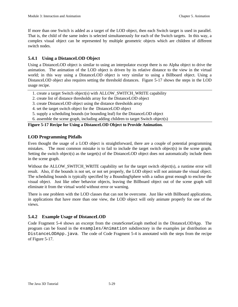If more than one Switch is added as a target of the LOD object, then each Switch target is used in parallel. That is, the child of the same index is selected simultaneously for each of the Switch targets. In this way, a complex visual object can be represented by multiple geometric objects which are children of different switch nodes.

# **5.4.1 Using a DistanceLOD Object**

Using a DistanceLOD object is similar to using an interpolator except there is no Alpha object to drive the animation. The animation of the LOD object is driven by its relative distance to the view in the virtual world; in this way using a DistanceLOD object is very similar to using a Billboard object. Using a DistanceLOD object also requires setting the threshold distances. Figure 5-17 shows the steps in the LOD usage recipe.

- 1. create a target Switch object(s) with ALLOW\_SWITCH\_WRITE capability
- 2. create list of distance thresholds array for the DistanceLOD object
- 3. create DistanceLOD object using the distance thresholds array
- 4. set the target switch object for the DistanceLOD object
- 5. supply a scheduling bounds (or bounding leaf) for the DistanceLOD object
- 6. assemble the scene graph, including adding children to target Switch object(s)

# **Figure 5-17 Recipe for Using a DistanceLOD Object to Provide Animation.**

# **LOD Programming Pitfalls**

Even thought the usage of a LOD object is straightforward, there are a couple of potential programming mistakes. The most common mistake is to fail to include the target switch object(s) in the scene graph. Setting the switch object(s) as the target(s) of the DistanceLOD object does not automatically include them in the scene graph.

Without the ALLOW\_SWITCH\_WRITE capability set for the target switch object(s), a runtime error will result. Also, if the bounds is not set, or not set properly, the LOD object will not animate the visual object. The scheduling bounds is typically specified by a BoundingSphere with a radius great enough to enclose the visual object. Just like other behavior objects, leaving the Billboard object out of the scene graph will eliminate it from the virtual world without error or warning.

There is one problem with the LOD classes that can not be overcome. Just like with Billboard applications, in applications that have more than one view, the LOD object will only animate properly for one of the views.

# **5.4.2 Example Usage of DistanceLOD**

Code Fragment 5-4 shows an excerpt from the createSceneGraph method in the DistanceLODApp. The program can be found in the examples/Animation subdirectory in the examples jar distribution as DistanceLODApp.java. The code of Code Fragment 5-4 is annotated with the steps from the recipe of Figure 5-17.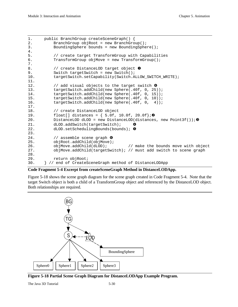```
1. public BranchGroup createSceneGraph() {<br>2. BranchGroup objRoot = new BranchGro
           BranchGroup objRoot = new BranchGroup();
3. BoundingSphere bounds = new BoundingSphere();
4.
5. // create target TransformGroup with Capabilities
6. TransformGroup objMove = new TransformGroup();
7.
8. \frac{1}{2} // create DistanceLOD target object \theta<br>9. Switch targetSwitch = new Switch();
           Switch targetSwitch = new Switch();
10. targetSwitch.setCapability(Switch.ALLOW_SWITCH_WRITE);
11.
12. \frac{1}{2} add visual objects to the target switch G
13. targetSwitch.addChild(new Sphere(.40f, 0, 25));
14. targetSwitch.addChild(new Sphere(.40f, 0, 15));
15. targetSwitch.addChild(new Sphere(.40f, 0, 10));<br>16. targetSwitch.addChild(new Sphere(.40f, 0, 4));
           targetSwitch.addChild(new Sphere(.40f, 0, 4));
\frac{17}{18}.
           // create DistanceLOD object
19. float[] distances = \{ 5.0f, 10.0f, 20.0f\};
20. DistanceLOD dLOD = new DistanceLOD(distances, new Point3f()); \Theta21. dLOD.addSwitch(targetSwitch); \bullet22. dLOD.setSchedulingBounds(bounds); \Theta23.
24. \frac{1}{24} assemble scene graph \theta25. objRoot.addChild(objMove);
26. objMove.addChild(dLOD); // make the bounds move with object
27. objMove.addChild(targetSwitch); // must add switch to scene graph
28.
29. return objRoot;
30. } // end of CreateSceneGraph method of DistanceLODApp
```
# **Code Fragment 5-4 Excerpt from createSceneGraph Method in DistanceLODApp.**

Figure 5-18 shows the scene graph diagram for the scene graph created in Code Fragment 5-4. Note that the target Switch object is both a child of a TransformGroup object and referenced by the DistanceLOD object. Both relationships are required.



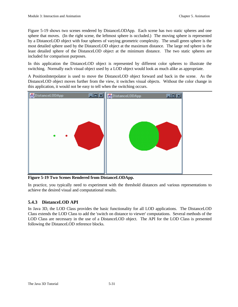Figure 5-19 shows two scenes rendered by DistanceLODApp. Each scene has two static spheres and one sphere that moves. (In the right scene, the leftmost sphere is occluded.) The moving sphere is represented by a DistanceLOD object with four spheres of varying geometric complexity. The small green sphere is the most detailed sphere used by the DistanceLOD object at the maximum distance. The large red sphere is the least detailed sphere of the DistanceLOD object at the minimum distance. The two static spheres are included for comparison purposes.

In this application the DistanceLOD object is represented by different color spheres to illustrate the switching. Normally each visual object used by a LOD object would look as much alike as appropriate.

A PositionInterpolator is used to move the DistanceLOD object forward and back in the scene. As the DistanceLOD object moves further from the view, it switches visual objects. Without the color change in this application, it would not be easy to tell when the switching occurs.



**Figure 5-19 Two Scenes Rendered from DistanceLODApp.**

In practice, you typically need to experiment with the threshold distances and various representations to achieve the desired visual and computational results.

# **5.4.3 DistanceLOD API**

In Java 3D, the LOD Class provides the basic functionality for all LOD applications. The DistanceLOD Class extends the LOD Class to add the 'switch on distance to viewer' computations. Several methods of the LOD Class are necessary in the use of a DistanceLOD object. The API for the LOD Class is presented following the DistanceLOD reference blocks.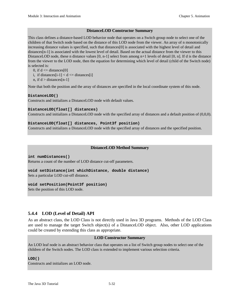#### **DistanceLOD Constructor Summary**

This class defines a distance-based LOD behavior node that operates on a Switch group node to select one of the children of that Switch node based on the distance of this LOD node from the viewer. An array of n monotonically increasing distance values is specified, such that distances[0] is associated with the highest level of detail and distances[n-1] is associated with the lowest level of detail. Based on the actual distance from the viewer to this DistanceLOD node, these n distance values  $[0, n-1]$  select from among  $n+1$  levels of detail  $[0, n]$ . If d is the distance from the viewer to the LOD node, then the equation for determining which level of detail (child of the Switch node) is selected is:

```
0, if d \leq distances [0]
```
- i, if distances  $[i-1] < d \leq 1$  distances  $[i]$
- n, if  $d >$  distances [n-1]

Note that both the position and the array of distances are specified in the local coordinate system of this node.

#### **DistanceLOD()**

Constructs and initializes a DistanceLOD node with default values.

#### **DistanceLOD(float[] distances)**

Constructs and initializes a DistanceLOD node with the specified array of distances and a default position of (0,0,0).

#### **DistanceLOD(float[] distances, Point3f position)**

Constructs and initializes a DistanceLOD node with the specified array of distances and the specified position.

#### **DistanceLOD Method Summary**

**int numDistances()** Returns a count of the number of LOD distance cut-off parameters.

**void setDistance(int whichDistance, double distance)** Sets a particular LOD cut-off distance.

#### **void setPosition(Point3f position)**

Sets the position of this LOD node.

# **5.4.4 LOD (Level of Detail) API**

As an abstract class, the LOD Class is not directly used in Java 3D programs. Methods of the LOD Class are used to manage the target Switch object(s) of a DistanceLOD object. Also, other LOD applications could be created by extending this class as appropriate.

#### **LOD Constructor Summary**

An LOD leaf node is an abstract behavior class that operates on a list of Switch group nodes to select one of the children of the Switch nodes. The LOD class is extended to implement various selection criteria.

#### **LOD()**

Constructs and initializes an LOD node.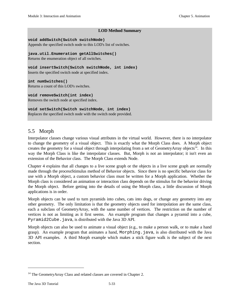#### **LOD Method Summary**

#### **void addSwitch(Switch switchNode)**

Appends the specified switch node to this LOD's list of switches.

**java.util.Enumeration getAllSwitches()** Returns the enumeration object of all switches.

**void insertSwitch(Switch switchNode, int index)** Inserts the specified switch node at specified index.

**int numSwitches()** Returns a count of this LOD's switches.

**void removeSwitch(int index)**

Removes the switch node at specified index.

# **void setSwitch(Switch switchNode, int index)**

Replaces the specified switch node with the switch node provided.

# 5.5 Morph

Interpolator classes change various visual attributes in the virtual world. However, there is no interpolator to change the geometry of a visual object. This is exactly what the Morph Class does. A Morph object creates the geometry for a visual object through interpolating from a set of GeometryArray objects<sup>14</sup>. In this way the Morph Class is like the interpolator classes. But, Morph is not an interpolator; it isn't even an extension of the Behavior class. The Morph Class extends Node.

Chapter 4 explains that all changes to a live scene graph or the objects in a live scene graph are normally made through the processStimulus method of Behavior objects. Since there is no specific behavior class for use with a Morph object, a custom behavior class must be written for a Morph application. Whether the Morph class is considered an animation or interaction class depends on the stimulus for the behavior driving the Morph object. Before getting into the details of using the Morph class, a little discussion of Morph applications is in order.

Morph objects can be used to turn pyramids into cubes, cats into dogs, or change any geometry into any other geometry. The only limitation is that the geometry objects used for interpolation are the same class, each a subclass of GeometryArray, with the same number of vertices. The restriction on the number of vertices is not as limiting as it first seems. An example program that changes a pyramid into a cube, Pyramid2Cube.java, is distributed with the Java 3D API.

Morph objects can also be used to animate a visual object (e.g., to make a person walk, or to make a hand grasp). An example program that animates a hand, Morphing.java, is also distributed with the Java 3D API examples. A third Morph example which makes a stick figure walk is the subject of the next section.

 $\overline{a}$ 

<sup>&</sup>lt;sup>14</sup> The GeometryArray Class and related classes are covered in Chapter 2.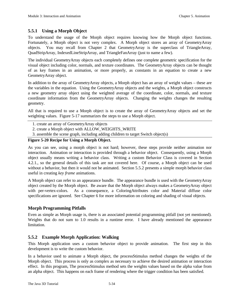# **5.5.1 Using a Morph Object**

To understand the usage of the Morph object requires knowing how the Morph object functions. Fortunately, a Morph object is not very complex. A Morph object stores an array of GeometryArray objects. You may recall from Chapter 2 that GeometryArray is the superclass of TriangleArray, QuadStripArray, IndexedLineStripArray, and TriangleFanArray (just to name a few).

The individual GeometryArray objects each completely defines one complete geometric specification for the visual object including color, normals, and texture coordinates. The GeometryArray objects can be thought of as key frames in an animation, or more properly, as constants in an equation to create a new GeometryArray object.

In addition to the array of GeometryArray objects, a Morph object has an array of weight values – these are the variables in the equation. Using the GeometryArray objects and the weights, a Morph object constructs a new geometry array object using the weighted average of the coordinate, color, normals, and texture coordinate information from the GeometryArray objects. Changing the weights changes the resulting geometry.

All that is required to use a Morph object is to create the array of GeometryArray objects and set the weighting values. Figure 5-17 summarizes the steps to use a Morph object.

- 1. create an array of GeometryArray objects
- 2. create a Morph object with ALLOW\_WEIGHTS\_WRITE
- 3. assemble the scene graph, including adding children to target Switch object(s)

#### **Figure 5-20 Recipe for Using a Morph Object.**

As you can see, using a morph object is not hard; however, these steps provide neither animation nor interaction. Animation or interaction is provided through a behavior object. Consequently, using a Morph object usually means writing a behavior class. Writing a custom Behavior Class is covered in Section 4.2.1., so the general details of this task are not covered here. Of course, a Morph object can be used without a behavior, but then it would not be animated. Section 5.5.2 presents a simple morph behavior class useful in creating *key frame* animations.

A Morph object can refer to an appearance bundle. The appearance bundle is used with the GeometryArray object created by the Morph object. Be aware that the Morph object always makes a GeometryArray object with per-vertex-colors. As a consequence, a ColoringAttributes color and Material diffuse color specifications are ignored. See Chapter 6 for more information on coloring and shading of visual objects.

# **Morph Programming Pitfalls**

Even as simple as Morph usage is, there is an associated potential programming pitfall (not yet mentioned). Weights that do not sum to 1.0 results in a runtime error. I have already mentioned the appearance limitation.

# **5.5.2 Example Morph Application: Walking**

This Morph application uses a custom behavior object to provide animation. The first step in this development is to write the custom behavior.

In a behavior used to animate a Morph object, the processStimulus method changes the weights of the Morph object. This process is only as complex as necessary to achieve the desired animation or interaction effect. In this program, The processStimulus method sets the weights values based on the alpha value from an alpha object. This happens on each frame of rendering where the trigger condition has been satisfied.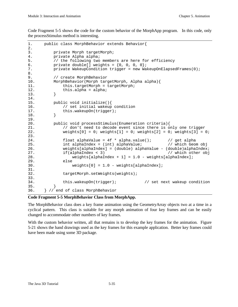Code Fragment 5-5 shows the code for the custom behavior of the MorphApp program. In this code, only the processStimulus method is interesting.

```
1. public class MorphBehavior extends Behavior{
2.
3. private Morph targetMorph;
4. private Alpha alpha;
5. // the following two members are here for efficiency
6. private double[] weights = \{0, 0, 0, 0\};
7. private WakeupCondition trigger = new WakeupOnElapsedFrames(0);
8.
9. // create MorphBehavior
10. MorphBehavior(Morph targetMorph, Alpha alpha){
11. this.targetMorph = targetMorph;
12. \text{this.alpha} = \text{alpha};<br>13. \}13. }
14.
15. public void initialize(){
16. // set initial wakeup condition
17. this.wakeupOn(trigger);<br>18. }
18. }
19.
20. public void processStimulus(Enumeration criteria){
21. // don't need to decode event since there is only one trigger
22. weights[0] = 0; weights[1] = 0; weights[2] = 0; weights[3] = 0;
23.
24. float alphaValue = 4f * alpha-value(); // get alpha
25. int alphaIndex = (int) alphaValue; // which Geom obj
26. weights[alphaIndex] = (double) alphaValue - (double)alphaIndex;
27. if(alphaIndex < 3) // which other obj
28. weights[alphaIndex + 1] = 1.0 - weights[alphaIndex];
29. else
30. weights[0] = 1.0 - weights[alphaIndex];
31.
32. targetMorph.setWeights(weights);
33.
34. this.wakeupOn(trigger); // set next wakeup condition
35. }
36. } // end of class MorphBehavior
```
#### **Code Fragment 5-5 MorphBehavior Class from MorphApp.**

The MorphBehavior class does a key frame animation using the GeometryArray objects two at a time in a cyclical pattern. This class is suitable for any morph animation of four key frames and can be easily changed to accommodate other numbers of key frames.

With the custom behavior written, all that remains is to develop the key frames for the animation. Figure 5-21 shows the hand drawings used as the key frames for this example application. Better key frames could have been made using some 3D package.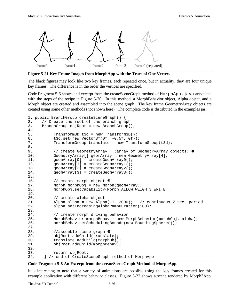

**Figure 5-21 Key Frame Images from MorphApp with the Trace of One Vertex.**

The black figures may look like two key frames, each repeated once, but in actuality, they are four unique key frames. The difference is in the order the vertices are specified.

Code Fragment 5-6 shows and excerpt from the createSceneGraph method of MorphApp.java annotated with the steps of the recipe in Figure 5-20. In this method, a MorphBehavior object, Alpha object, and a Morph object are created and assembled into the scene graph. The key frame GeometryArray objects are created using some other methods (not shown here). The complete code is distributed in the examples jar.

```
1. public BranchGroup createSceneGraph() {
2. // Create the root of the branch graph<br>3. BranchGroup objRoot = new BranchGroup(
      BranchGroup objRoot = new BranchGroup();
\frac{4}{5}.
           Transform3D t3d = new Transform3D();
6. t3d.set(new Vector3f(0f, -0.5f, 0f));
7. TransformGroup translate = new TransformGroup(t3d);
8.
9. \sqrt{2} // create GeometryArray [] (array of GeometryArray objects) 0
10. GeometryArray[] geomArray = new GeometryArray[4];
11. geomArray[0] = createGeomArray0();<br>12. geomArray[1] = createGeomArray1();
          12. geomArray[1] = createGeomArray1();
13. geomArray[2] = createGeomArray2();
14. geomArray[3] = createGeomArray3();
15.
16. \frac{1}{6} // create morph object \theta17. Morph morphObj = new Morph(geomArray);
18. morphObj.setCapability(Morph.ALLOW_WEIGHTS_WRITE);
19.
20. // create alpha object
21. Alpha alpha = new Alpha(-1, 2000); // continuous 2 sec. period
22. alpha.setIncreasingAlphaRampDuration(100);
23.24.// create morph driving behavior
25. MorphBehavior morphBehav = new MorphBehavior(morphObj, alpha);
26. morphBehav.setSchedulingBounds(new BoundingSphere());
27.
28. //assemble scene graph \bullet29. objRoot.addChild(translate);
30. translate.addChild(morphObj);
31. objRoot.addChild(morphBehav);
32.
33. return objRoot;
34. } // end of CreateSceneGraph method of MorphApp
```
#### **Code Fragment 5-6 An Excerpt from the createSceneGraph Method of MorphApp.**

It is interesting to note that a variety of animations are possible using the key frames created for this example application with different behavior classes. Figure 5-22 shows a scene rendered by Morph3App.

The Java 3D Tutorial 5-36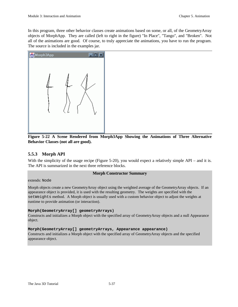In this program, three other behavior classes create animations based on some, or all, of the GeometryArray objects of MorphApp. They are called (left to right in the figure) "In Place", "Tango", and "Broken". Not all of the animations are good. Of course, to truly appreciate the animations, you have to run the program. The source is included in the examples jar.



**Figure 5-22 A Scene Rendered from Morph3App Showing the Animations of Three Alternative Behavior Classes (not all are good).**

# **5.5.3 Morph API**

With the simplicity of the usage recipe (Figure 5-20), you would expect a relatively simple API – and it is. The API is summarized in the next three reference blocks.

#### **Morph Constructor Summary**

#### extends: Node

Morph objects create a new GeometryArray object using the weighted average of the GeometryArray objects. If an appearance object is provided, it is used with the resulting geometry. The weights are specified with the setWeights method. A Morph object is usually used with a custom behavior object to adjust the weights at runtime to provide animation (or interaction).

#### **Morph(GeometryArray[] geometryArrays)**

Constructs and initializes a Morph object with the specified array of GeometryArray objects and a null Appearance object.

#### **Morph(GeometryArray[] geometryArrays, Appearance appearance)**

Constructs and initializes a Morph object with the specified array of GeometryArray objects and the specified appearance object.